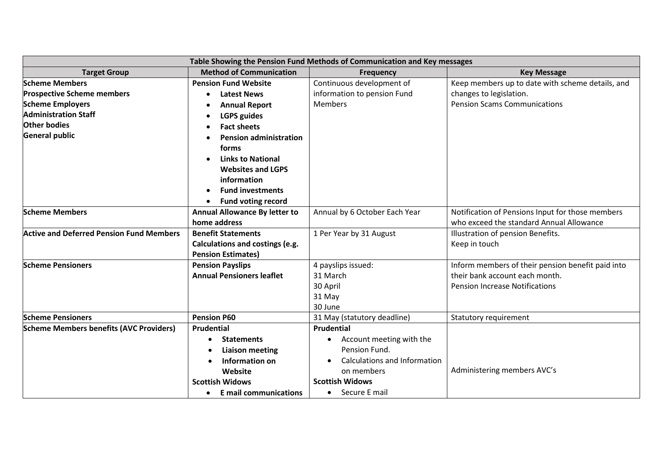| Table Showing the Pension Fund Methods of Communication and Key messages |                                           |                                     |                                                   |  |  |
|--------------------------------------------------------------------------|-------------------------------------------|-------------------------------------|---------------------------------------------------|--|--|
| <b>Target Group</b>                                                      | <b>Method of Communication</b>            | <b>Frequency</b>                    | <b>Key Message</b>                                |  |  |
| <b>Scheme Members</b>                                                    | <b>Pension Fund Website</b>               | Continuous development of           | Keep members up to date with scheme details, and  |  |  |
| <b>Prospective Scheme members</b>                                        | <b>Latest News</b><br>$\bullet$           | information to pension Fund         | changes to legislation.                           |  |  |
| <b>Scheme Employers</b>                                                  | <b>Annual Report</b>                      | <b>Members</b>                      | <b>Pension Scams Communications</b>               |  |  |
| <b>Administration Staff</b>                                              | <b>LGPS guides</b>                        |                                     |                                                   |  |  |
| <b>Other bodies</b>                                                      | <b>Fact sheets</b>                        |                                     |                                                   |  |  |
| <b>General public</b>                                                    | <b>Pension administration</b>             |                                     |                                                   |  |  |
|                                                                          | forms                                     |                                     |                                                   |  |  |
|                                                                          | <b>Links to National</b>                  |                                     |                                                   |  |  |
|                                                                          | <b>Websites and LGPS</b>                  |                                     |                                                   |  |  |
|                                                                          | information                               |                                     |                                                   |  |  |
|                                                                          | <b>Fund investments</b><br>$\bullet$      |                                     |                                                   |  |  |
|                                                                          | <b>Fund voting record</b>                 |                                     |                                                   |  |  |
| <b>Scheme Members</b>                                                    | <b>Annual Allowance By letter to</b>      | Annual by 6 October Each Year       | Notification of Pensions Input for those members  |  |  |
|                                                                          | home address                              |                                     | who exceed the standard Annual Allowance          |  |  |
| <b>Active and Deferred Pension Fund Members</b>                          | <b>Benefit Statements</b>                 | 1 Per Year by 31 August             | Illustration of pension Benefits.                 |  |  |
|                                                                          | Calculations and costings (e.g.           |                                     | Keep in touch                                     |  |  |
|                                                                          | <b>Pension Estimates)</b>                 |                                     |                                                   |  |  |
| <b>Scheme Pensioners</b>                                                 | <b>Pension Payslips</b>                   | 4 payslips issued:                  | Inform members of their pension benefit paid into |  |  |
|                                                                          | <b>Annual Pensioners leaflet</b>          | 31 March                            | their bank account each month.                    |  |  |
|                                                                          |                                           | 30 April                            | <b>Pension Increase Notifications</b>             |  |  |
|                                                                          |                                           | 31 May                              |                                                   |  |  |
|                                                                          |                                           | 30 June                             |                                                   |  |  |
| <b>Scheme Pensioners</b>                                                 | <b>Pension P60</b>                        | 31 May (statutory deadline)         | Statutory requirement                             |  |  |
| <b>Scheme Members benefits (AVC Providers)</b>                           | <b>Prudential</b>                         | Prudential                          |                                                   |  |  |
|                                                                          | <b>Statements</b>                         | Account meeting with the            |                                                   |  |  |
|                                                                          | <b>Liaison meeting</b>                    | Pension Fund.                       |                                                   |  |  |
|                                                                          | Information on                            | <b>Calculations and Information</b> |                                                   |  |  |
|                                                                          | Website                                   | on members                          | Administering members AVC's                       |  |  |
|                                                                          | <b>Scottish Widows</b>                    | <b>Scottish Widows</b>              |                                                   |  |  |
|                                                                          | <b>E</b> mail communications<br>$\bullet$ | • Secure E mail                     |                                                   |  |  |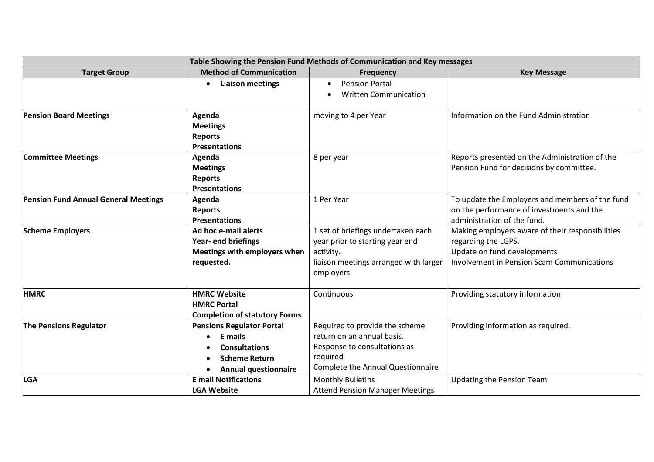| Table Showing the Pension Fund Methods of Communication and Key messages |                                      |                                        |                                                   |  |  |
|--------------------------------------------------------------------------|--------------------------------------|----------------------------------------|---------------------------------------------------|--|--|
| <b>Target Group</b>                                                      | <b>Method of Communication</b>       | <b>Frequency</b>                       | <b>Key Message</b>                                |  |  |
|                                                                          | <b>Liaison meetings</b>              | <b>Pension Portal</b><br>$\bullet$     |                                                   |  |  |
|                                                                          |                                      | <b>Written Communication</b>           |                                                   |  |  |
|                                                                          |                                      |                                        |                                                   |  |  |
| <b>Pension Board Meetings</b>                                            | Agenda                               | moving to 4 per Year                   | Information on the Fund Administration            |  |  |
|                                                                          | <b>Meetings</b>                      |                                        |                                                   |  |  |
|                                                                          | <b>Reports</b>                       |                                        |                                                   |  |  |
|                                                                          | <b>Presentations</b>                 |                                        |                                                   |  |  |
| <b>Committee Meetings</b>                                                | Agenda                               | 8 per year                             | Reports presented on the Administration of the    |  |  |
|                                                                          | <b>Meetings</b>                      |                                        | Pension Fund for decisions by committee.          |  |  |
|                                                                          | <b>Reports</b>                       |                                        |                                                   |  |  |
|                                                                          | <b>Presentations</b>                 |                                        |                                                   |  |  |
| Pension Fund Annual General Meetings                                     | Agenda                               | 1 Per Year                             | To update the Employers and members of the fund   |  |  |
|                                                                          | <b>Reports</b>                       |                                        | on the performance of investments and the         |  |  |
|                                                                          | <b>Presentations</b>                 |                                        | administration of the fund.                       |  |  |
| <b>Scheme Employers</b>                                                  | Ad hoc e-mail alerts                 | 1 set of briefings undertaken each     | Making employers aware of their responsibilities  |  |  |
|                                                                          | Year- end briefings                  | year prior to starting year end        | regarding the LGPS.                               |  |  |
|                                                                          | Meetings with employers when         | activity.                              | Update on fund developments                       |  |  |
|                                                                          | requested.                           | liaison meetings arranged with larger  | <b>Involvement in Pension Scam Communications</b> |  |  |
|                                                                          |                                      | employers                              |                                                   |  |  |
|                                                                          |                                      |                                        |                                                   |  |  |
| <b>HMRC</b>                                                              | <b>HMRC Website</b>                  | Continuous                             | Providing statutory information                   |  |  |
|                                                                          | <b>HMRC Portal</b>                   |                                        |                                                   |  |  |
|                                                                          | <b>Completion of statutory Forms</b> |                                        |                                                   |  |  |
| <b>The Pensions Regulator</b>                                            | <b>Pensions Regulator Portal</b>     | Required to provide the scheme         | Providing information as required.                |  |  |
|                                                                          | E mails                              | return on an annual basis.             |                                                   |  |  |
|                                                                          | <b>Consultations</b>                 | Response to consultations as           |                                                   |  |  |
|                                                                          | <b>Scheme Return</b>                 | required                               |                                                   |  |  |
|                                                                          | <b>Annual questionnaire</b>          | Complete the Annual Questionnaire      |                                                   |  |  |
| <b>LGA</b>                                                               | <b>E</b> mail Notifications          | <b>Monthly Bulletins</b>               | <b>Updating the Pension Team</b>                  |  |  |
|                                                                          | <b>LGA Website</b>                   | <b>Attend Pension Manager Meetings</b> |                                                   |  |  |